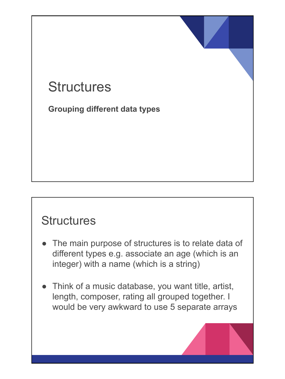# **Structures**

**Grouping different data types**

#### **Structures**

- The main purpose of structures is to relate data of different types e.g. associate an age (which is an integer) with a name (which is a string)
- Think of a music database, you want title, artist, length, composer, rating all grouped together. I would be very awkward to use 5 separate arrays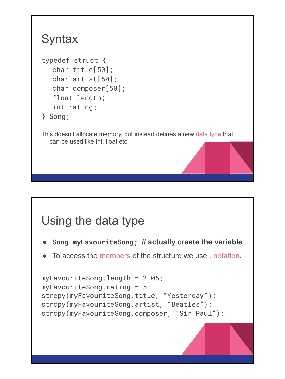## **Syntax**

```
typedef struct {
  char title[50];
  char artist[50];
  char composer[50];
  float length;
  int rating;
} Song;
```
This doesn't allocate memory, but instead defines a new data type that can be used like int, float etc.

# Using the data type

- **● Song myFavouriteSong; // actually create the variable**
- To access the members of the structure we use . notation.

```
myFavouriteSong.length = 2.05;
myFavouriteSong.rating = 5;
strcpy(myFavouriteSong.title, "Yesterday");
strcpy(myFavouriteSong.artist, "Beatles");
strcpy(myFavouriteSong.composer, "Sir Paul");
```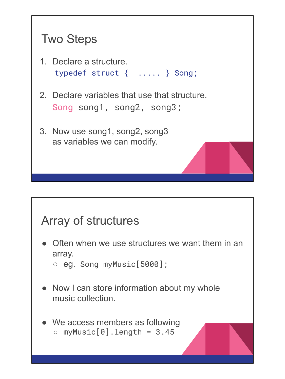# Two Steps

- 1. Declare a structure. typedef struct { ..... } Song;
- 2. Declare variables that use that structure. Song song1, song2, song3;
- 3. Now use song1, song2, song3 as variables we can modify.

#### Array of structures

- Often when we use structures we want them in an array.
	- $\circ$  eg. Song myMusic [5000];
- Now I can store information about my whole music collection.
- We access members as following  $\circ$  myMusic[0].length = 3.45